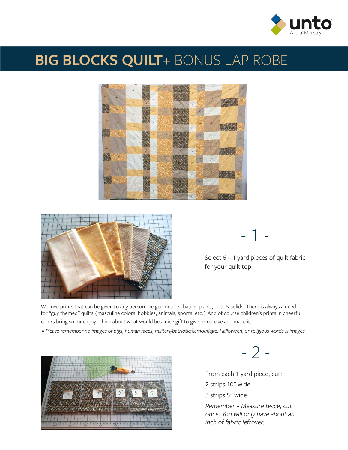

## **BIG BLOCKS QUILT**+ BONUS LAP ROBE





- 1 -

Select 6 – 1 yard pieces of quilt fabric for your quilt top.

We love prints that can be given to any person like geometrics, batiks, plaids, dots & solids. There is always a need for "guy themed" quilts (masculine colors, hobbies, animals, sports, etc.) And of course children's prints in cheerful colors bring so much joy. Think about what would be a nice gift to give or receive and make it.

*• Please remember no images of pigs, human faces, military/patriotic/camouflage, Halloween, or religious words & images.*



- 2 -

From each 1 yard piece, cut: 2 strips 10" wide 3 strips 5" wide *Remember – Measure twice, cut* 

*once. You will only have about an inch of fabric leftover.*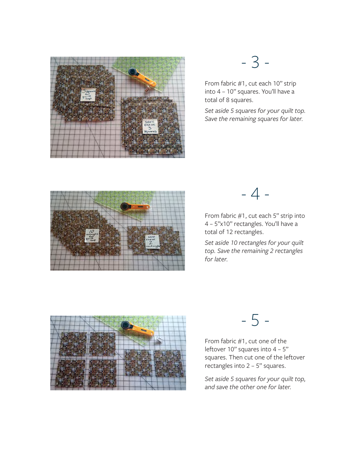

## - 3 -

From fabric #1, cut each 10" strip into 4 – 10" squares. You'll have a total of 8 squares.

*Set aside 5 squares for your quilt top. Save the remaining squares for later.*



## - 4 -

From fabric #1, cut each 5" strip into 4 – 5"x10" rectangles. You'll have a total of 12 rectangles.

*Set aside 10 rectangles for your quilt top. Save the remaining 2 rectangles for later.*



- 5 -

From fabric #1, cut one of the leftover 10" squares into 4 - 5" squares. Then cut one of the leftover rectangles into 2 – 5" squares.

*Set aside 5 squares for your quilt top, and save the other one for later.*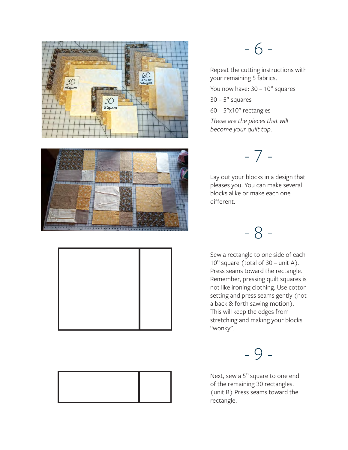







### - 6 -

Repeat the cutting instructions with your remaining 5 fabrics. You now have: 30 - 10" squares  $30 - 5"$  squares 60 – 5"x10" rectangles

*These are the pieces that will become your quilt top.*

- 7 -

Lay out your blocks in a design that pleases you. You can make several blocks alike or make each one different.

- 8 -

Sew a rectangle to one side of each 10" square (total of 30 – unit A). Press seams toward the rectangle. Remember, pressing quilt squares is not like ironing clothing. Use cotton setting and press seams gently (not a back & forth sawing motion). This will keep the edges from stretching and making your blocks "wonky".

- 9 -

Next, sew a 5" square to one end of the remaining 30 rectangles. (unit B) Press seams toward the rectangle.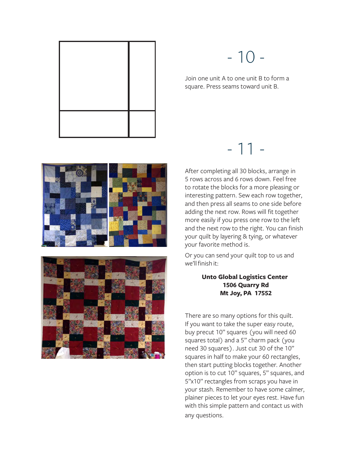

# - 10 -

Join one unit A to one unit B to form a square. Press seams toward unit B.





After completing all 30 blocks, arrange in 5 rows across and 6 rows down. Feel free to rotate the blocks for a more pleasing or interesting pattern. Sew each row together, and then press all seams to one side before adding the next row. Rows will fit together more easily if you press one row to the left and the next row to the right. You can finish your quilt by layering & tying, or whatever your favorite method is.

- 11 -

Or you can send your quilt top to us and we'll finish it:

#### **Unto Global Logistics Center 1506 Quarry Rd Mt Joy, PA 17552**

There are so many options for this quilt. If you want to take the super easy route, buy precut 10" squares (you will need 60 squares total) and a 5" charm pack (you need 30 squares). Just cut 30 of the 10" squares in half to make your 60 rectangles, then start putting blocks together. Another option is to cut 10" squares, 5" squares, and 5"x10" rectangles from scraps you have in your stash. Remember to have some calmer, plainer pieces to let your eyes rest. Have fun with this simple pattern and contact us with any questions.